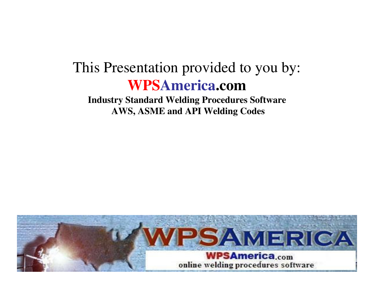# This Presentation provided to you by: **WPSAmerica.com**

 **Industry Standard Welding Procedures Software AWS, ASME and API Welding Codes**

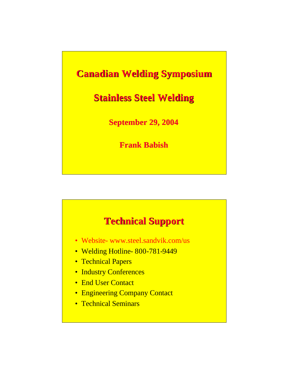#### **Canadian Welding Symposium**

#### **Stainless Steel Welding**

**September 29, 2004**

**Frank Babish**

#### **Technical Support**

- Website- www.steel.sandvik.com/us
- Welding Hotline-800-781-9449
- Technical Papers
- Industry Conferences
- End User Contact
- Engineering Company Contact
- Technical Seminars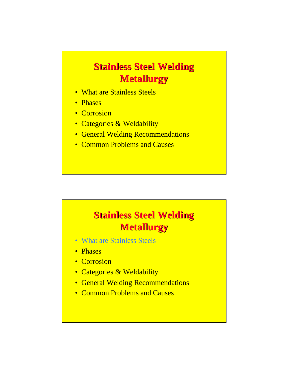### **Stainless Steel Welding Metallurgy**

- What are Stainless Steels
- Phases
- Corrosion
- Categories & Weldability
- General Welding Recommendations
- Common Problems and Causes

## **Stainless Steel Welding Metallurgy**

- What are Stainless Steels
- Phases
- Corrosion
- Categories & Weldability
- General Welding Recommendations
- Common Problems and Causes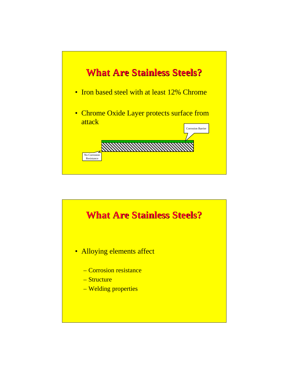

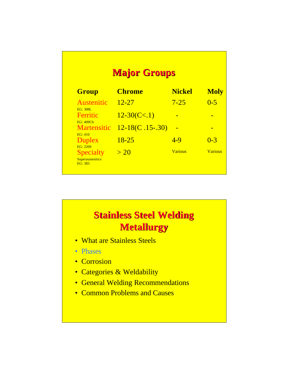| <b>Major Groups</b>                                    |                   |                |                |
|--------------------------------------------------------|-------------------|----------------|----------------|
| <b>Group</b>                                           | <b>Chrome</b>     | <b>Nickel</b>  | <b>Moly</b>    |
| Austenitic<br>EG: 308L                                 | $12 - 27$         | $7 - 25$       | $0 - 5$        |
| Ferritic<br><b>EG: 409Cb</b>                           | $12 - 30(C1)$     |                |                |
| <b>Martensitic</b><br>EG·410                           | $12-18(C.15-.30)$ |                |                |
| Duplex<br>EG: 2209                                     | $18 - 25$         | $4-9$          | $0 - 3$        |
| <b>Specialty</b><br><b>Superaustenitics</b><br>EG: 383 | >20               | <b>Various</b> | <b>Various</b> |

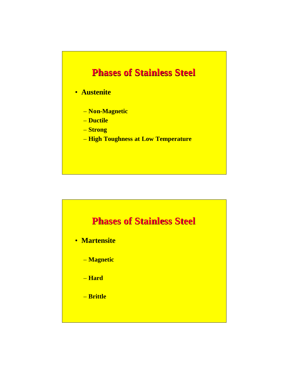#### **Phases of Stainless Steel**

#### • **Austenite**

- **Non-Magnetic**
- **Ductile**
- **Strong**
- **High Toughness at Low Temperature**

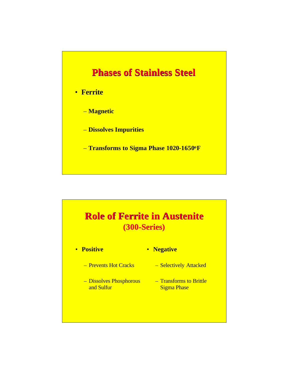#### **Phases of Stainless Steel**

#### • **Ferrite**

- **Magnetic**
- **Dissolves Impurities**
- **Transforms to Sigma Phase 1020-1650<sup>o</sup>F**

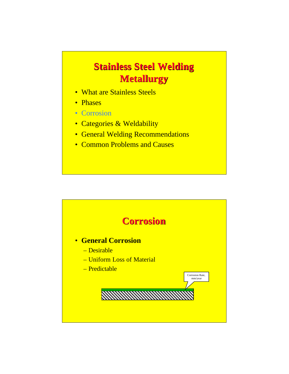## **Stainless Steel Welding Metallurgy**

- What are Stainless Steels
- Phases
- Corrosion
- Categories & Weldability
- General Welding Recommendations
- Common Problems and Causes

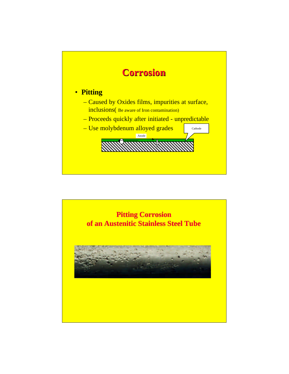

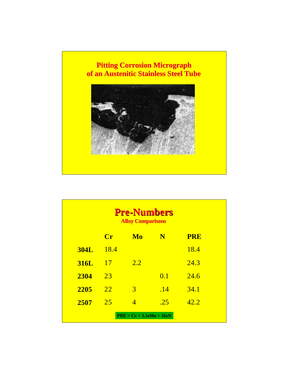#### **Pitting Corrosion Micrograph of an Austenitic Stainless Steel Tube**



| <b>Pre-Numbers</b><br><b>Alloy Comparisons</b> |                           |                |     |            |
|------------------------------------------------|---------------------------|----------------|-----|------------|
|                                                | $\overline{\mathbf{C}}$ r | Mo             | N   | <b>PRE</b> |
| <b>304L</b>                                    | 18.4                      |                |     | 18.4       |
| <b>316L</b>                                    | <b>17</b>                 | 2.2            |     | 24.3       |
| 2304                                           | 23                        |                | 0.1 | 24.6       |
| 2205                                           | <u>22</u>                 | 3              | .14 | 34.1       |
| 2507                                           | 25                        | $\overline{4}$ | .25 | 42.2       |
| $PRE = Cr + 3.3xMo + 16xN$                     |                           |                |     |            |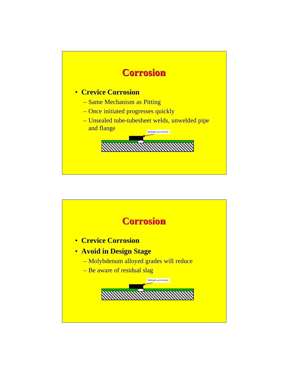

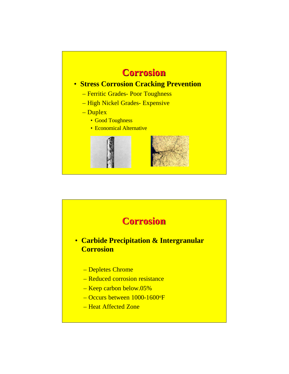

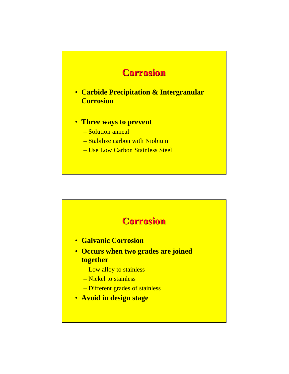

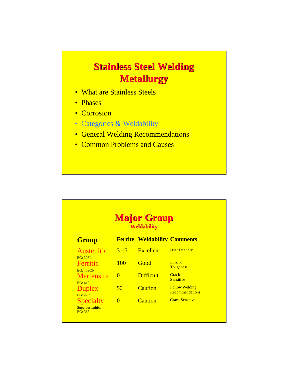### **Stainless Steel Welding Metallurgy**

- What are Stainless Steels
- Phases
- Corrosion
- Categories & Weldability
- General Welding Recommendations
- Common Problems and Causes

|                                                        |            | <b>Major Group</b><br><b>Weldability</b> |                                                 |
|--------------------------------------------------------|------------|------------------------------------------|-------------------------------------------------|
| <b>Group</b>                                           |            | <b>Ferrite Weldability Comments</b>      |                                                 |
| Austenitic<br>EG: 308L                                 | $3 - 15$   | <b>Excellent</b>                         | <b>User Friendly</b>                            |
| Ferritic<br><b>EG: 409Cb</b>                           | <b>100</b> | Good                                     | Loss of<br><b>Toughness</b>                     |
| <b>Martensitic</b><br>EG·410                           | $\Omega$   | <b>Difficult</b>                         | Crack<br><b>Sensitive</b>                       |
| <b>Duplex</b><br>EG: 2209                              | 50         | Caution                                  | <b>Follow Welding</b><br><b>Recommendations</b> |
| <b>Specialty</b><br><b>Superaustenitics</b><br>EG: 383 | $\Omega$   | Caution                                  | <b>Crack Sensitive</b>                          |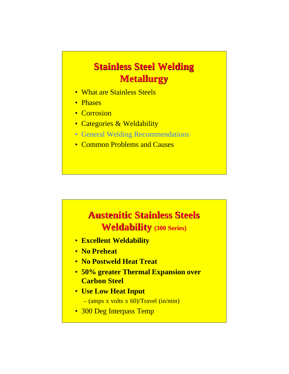## **Stainless Steel Welding Metallurgy**

- What are Stainless Steels
- Phases
- Corrosion
- Categories & Weldability
- General Welding Recommendations
- Common Problems and Causes



- **Excellent Weldability**
- **No Preheat**
- **No Postweld Heat Treat**
- **50% greater Thermal Expansion over Carbon Steel**
- **Use Low Heat Input** – (amps x volts x 60)/Travel (in/min)
- 300 Deg Interpass Temp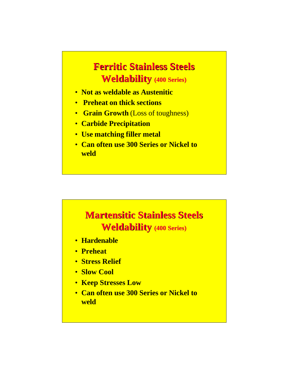#### **Ferritic Stainless Steels Weldability (400 Series)**

- **Not as weldable as Austenitic**
- **Preheat on thick sections**
- **Grain Growth** (Loss of toughness)
- **Carbide Precipitation**
- **Use matching filler metal**
- **Can often use 300 Series or Nickel to weld**

#### **Martensitic Stainless Steels Weldability (400 Series)**

- **Hardenable**
- **Preheat**
- **Stress Relief**
- **Slow Cool**
- **Keep Stresses Low**
- **Can often use 300 Series or Nickel to weld**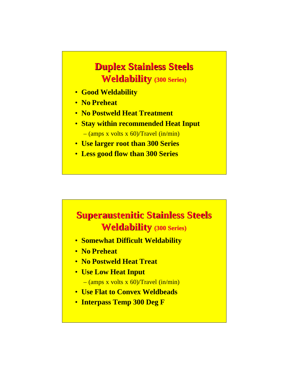#### **Duplex Stainless Steels Weldability (300 Series)**

- **Good Weldability**
- **No Preheat**
- **No Postweld Heat Treatment**
- **Stay within recommended Heat Input**  $-(\text{amps x volts x } 60)/\text{Travel (in/min)}$
- **Use larger root than 300 Series**
- **Less good flow than 300 Series**

# **Superaustenitic Stainless Steels Weldability (300 Series)**

- **Somewhat Difficult Weldability**
- **No Preheat**
- **No Postweld Heat Treat**
- **Use Low Heat Input**
	- $-(\text{amps } x \text{ volts } x \text{ 60)/} \text{Travel } (\text{in/min})$
- **Use Flat to Convex Weldbeads**
- **Interpass Temp 300 Deg F**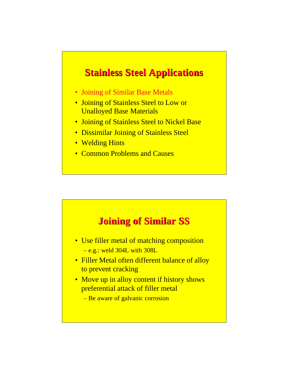- Joining of Similar Base Metals
- Joining of Stainless Steel to Low or Unalloyed Base Materials
- Joining of Stainless Steel to Nickel Base
- Dissimilar Joining of Stainless Steel
- Welding Hints
- Common Problems and Causes

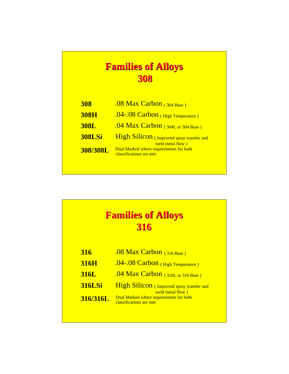#### **Families of Alloys 308**

| <b>308</b>    | .08 Max Carbon $(304$ Base)                                        |
|---------------|--------------------------------------------------------------------|
| <b>308H</b>   | .04-.08 Carbon (High Temperature)                                  |
| <b>308L</b>   | .04 Max Carbon $(304L \text{ or } 304 \text{ Base})$               |
| <b>308LSi</b> | High Silicon (Improved spray transfer and<br>weld metal flow)      |
| 308/308L      | Dual Marked where requirements for both<br>classifications are met |
|               |                                                                    |

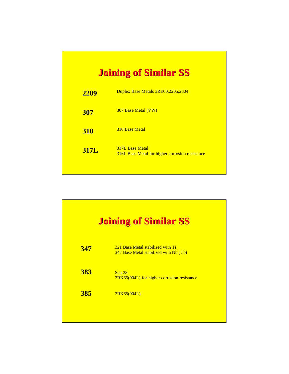#### **Joining of Similar SS**

| 2209        | Duplex Base Metals 3RE60,2205,2304                                               |
|-------------|----------------------------------------------------------------------------------|
| <b>307</b>  | <b>307 Base Metal (VW)</b>                                                       |
| <b>310</b>  | 310 Base Metal                                                                   |
| <b>317L</b> | <b>317L Base Metal</b><br><b>316L Base Metal for higher corrosion resistance</b> |
|             |                                                                                  |

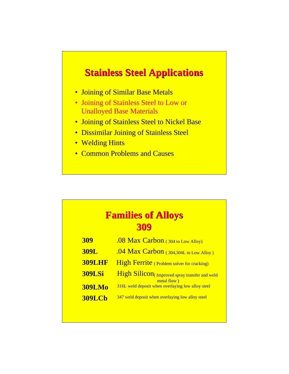- Joining of Similar Base Metals
- Joining of Stainless Steel to Low or Unalloyed Base Materials
- Joining of Stainless Steel to Nickel Base
- Dissimilar Joining of Stainless Steel
- Welding Hints
- Common Problems and Causes

#### **Families of Alloys 309**

| <b>309</b>    | .08 Max Carbon (304 to Low Alloy)                             |
|---------------|---------------------------------------------------------------|
| <b>309L</b>   | .04 Max Carbon $(304,304L)$ to Low Alloy)                     |
| <b>309LHF</b> | <b>High Ferrite</b> (Problem solver for cracking)             |
| <b>309LSi</b> | High Silicon (Improved spray transfer and weld<br>metal flow) |
| <b>309LMo</b> | 316L weld deposit when overlaying low alloy steel             |
| <b>309LCb</b> | 347 weld deposit when overlaying low alloy steel              |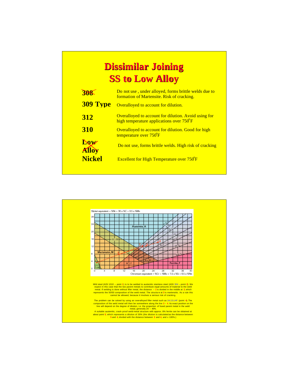# **Dissimilar Joining SS to Low Alloy**

| THE                 | Do not use, under alloyed, forms brittle welds due to<br>formation of Martensite. Risk of cracking.               |
|---------------------|-------------------------------------------------------------------------------------------------------------------|
| <b>309 Type</b>     | Overalloyed to account for dilution.                                                                              |
| 312                 | <b>Overalloyed to account for dilution. Avoid using for</b><br>high temperature applications over $750^{\circ}$ F |
| <b>310</b>          | Overalloyed to account for dilution. Good for high<br>temperature over 750°F                                      |
| Dow<br><b>Alloy</b> | Do not use, forms brittle welds. High risk of cracking                                                            |
| <b>Nickel</b>       | <b>Excellent for High Temperature over 750 F</b>                                                                  |
|                     |                                                                                                                   |

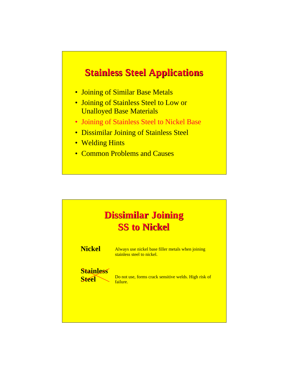- Joining of Similar Base Metals
- Joining of Stainless Steel to Low or Unalloyed Base Materials
- Joining of Stainless Steel to Nickel Base
- Dissimilar Joining of Stainless Steel
- Welding Hints
- Common Problems and Causes

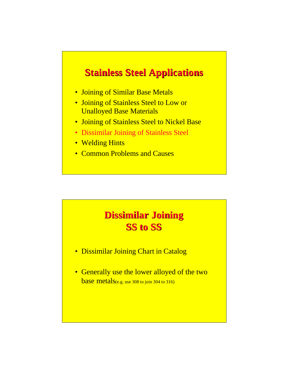- Joining of Similar Base Metals
- Joining of Stainless Steel to Low or Unalloyed Base Materials
- Joining of Stainless Steel to Nickel Base
- Dissimilar Joining of Stainless Steel
- Welding Hints
- Common Problems and Causes

#### **Dissimilar Joining SS to SS**

- Dissimilar Joining Chart in Catalog
- Generally use the lower alloyed of the two base metals(e.g. use 308 to join 304 to 316)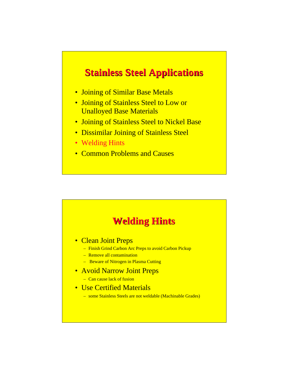- Joining of Similar Base Metals
- Joining of Stainless Steel to Low or Unalloyed Base Materials
- Joining of Stainless Steel to Nickel Base
- Dissimilar Joining of Stainless Steel
- Welding Hints
- Common Problems and Causes

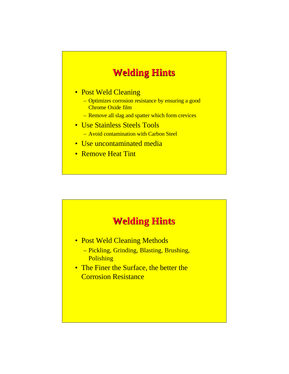#### **Welding Hints**

#### • Post Weld Cleaning

- Optimizes corrosion resistance by ensuring a good Chrome Oxide film
- Remove all slag and spatter which form crevices
- Use Stainless Steels Tools – Avoid contamination with Carbon Steel
- Use uncontaminated media
- Remove Heat Tint



- Post Weld Cleaning Methods
	- Pickling, Grinding, Blasting, Brushing, Polishing
- The Finer the Surface, the better the Corrosion Resistance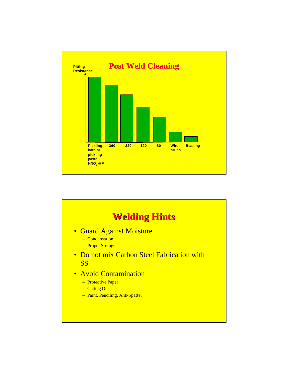

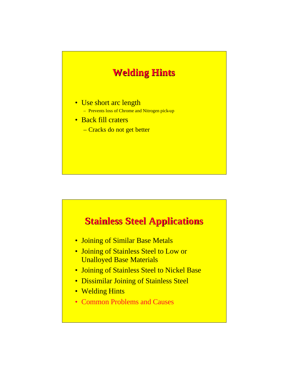

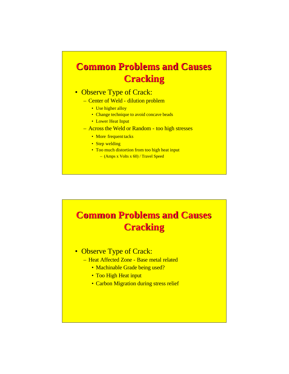### **Common Problems and Causes Cracking**

#### • Observe Type of Crack:

- Center of Weld dilution problem
	- Use higher alloy
	- Change technique to avoid concave beads
	- Lower Heat Input
- Across the Weld or Random too high stresses
	- More frequent tacks
	- Step welding
	- Too much distortion from too high heat input
		- (Amps x Volts x 60) / Travel Speed

# **Common Problems and Causes Cracking**

- Observe Type of Crack:
	- Heat Affected Zone Base metal related
		- Machinable Grade being used?
		- Too High Heat input
		- Carbon Migration during stress relief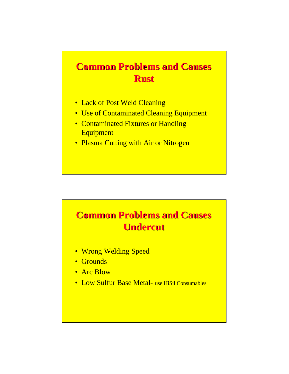## **Common Problems and Causes Rust**

- Lack of Post Weld Cleaning
- Use of Contaminated Cleaning Equipment
- Contaminated Fixtures or Handling **Equipment**
- Plasma Cutting with Air or Nitrogen

## **Common Problems and Causes Undercut**

- Wrong Welding Speed
- Grounds
- Arc Blow
- Low Sulfur Base Metal- use HiSil Consumables